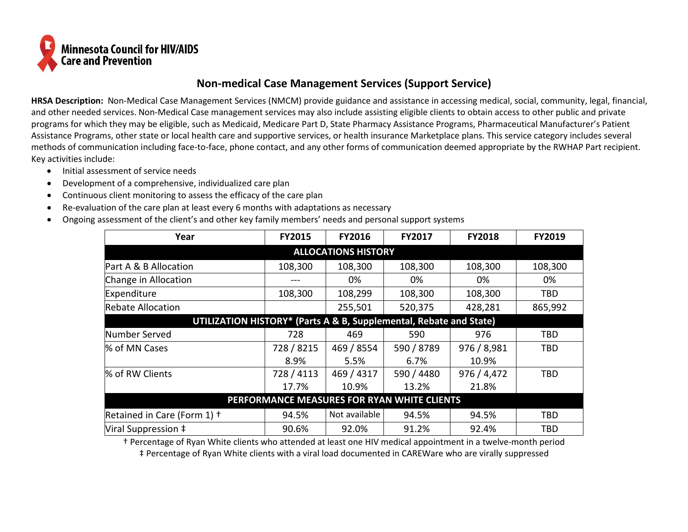

## **Non-medical Case Management Services (Support Service)**

**HRSA Description:** Non-Medical Case Management Services (NMCM) provide guidance and assistance in accessing medical, social, community, legal, financial, and other needed services. Non-Medical Case management services may also include assisting eligible clients to obtain access to other public and private programs for which they may be eligible, such as Medicaid, Medicare Part D, State Pharmacy Assistance Programs, Pharmaceutical Manufacturer's Patient Assistance Programs, other state or local health care and supportive services, or health insurance Marketplace plans. This service category includes several methods of communication including face-to-face, phone contact, and any other forms of communication deemed appropriate by the RWHAP Part recipient. Key activities include:

- Initial assessment of service needs
- Development of a comprehensive, individualized care plan
- Continuous client monitoring to assess the efficacy of the care plan
- Re-evaluation of the care plan at least every 6 months with adaptations as necessary
- Ongoing assessment of the client's and other key family members' needs and personal support systems

| Year                                                               | <b>FY2015</b> | <b>FY2016</b> | <b>FY2017</b>  | <b>FY2018</b> | <b>FY2019</b> |  |  |  |  |  |  |
|--------------------------------------------------------------------|---------------|---------------|----------------|---------------|---------------|--|--|--|--|--|--|
| <b>ALLOCATIONS HISTORY</b>                                         |               |               |                |               |               |  |  |  |  |  |  |
| Part A & B Allocation                                              | 108,300       | 108,300       | 108,300        | 108,300       | 108,300       |  |  |  |  |  |  |
| Change in Allocation                                               |               | 0%            | 0%             | 0%            | 0%            |  |  |  |  |  |  |
| Expenditure                                                        | 108,300       | 108,299       | 108,300        | 108,300       | TBD           |  |  |  |  |  |  |
| <b>Rebate Allocation</b>                                           |               | 255,501       | 520,375        | 428,281       | 865,992       |  |  |  |  |  |  |
| UTILIZATION HISTORY* (Parts A & B, Supplemental, Rebate and State) |               |               |                |               |               |  |  |  |  |  |  |
| Number Served                                                      | 728           | 469           | 590            | 976           | TBD           |  |  |  |  |  |  |
| % of MN Cases                                                      | 728 / 8215    | 469 / 8554    | 590 / 8789     | 976 / 8,981   | TBD           |  |  |  |  |  |  |
|                                                                    | 8.9%          | 5.5%          | 6.7%           | 10.9%         |               |  |  |  |  |  |  |
| % of RW Clients                                                    | 728 / 4113    | 469 / 4317    | 590 / 4480     | 976 / 4,472   | TBD           |  |  |  |  |  |  |
|                                                                    | 17.7%         | 10.9%         | 13.2%          | 21.8%         |               |  |  |  |  |  |  |
| PERFORMANCE MEASURES FOR RYAN WHITE CLIENTS                        |               |               |                |               |               |  |  |  |  |  |  |
| Retained in Care (Form 1) +                                        | 94.5%         | Not available | 94.5%<br>94.5% |               | TBD           |  |  |  |  |  |  |
| Viral Suppression ‡                                                | 90.6%         | 92.0%         | 91.2%          | 92.4%         | <b>TBD</b>    |  |  |  |  |  |  |

† Percentage of Ryan White clients who attended at least one HIV medical appointment in a twelve-month period ‡ Percentage of Ryan White clients with a viral load documented in CAREWare who are virally suppressed